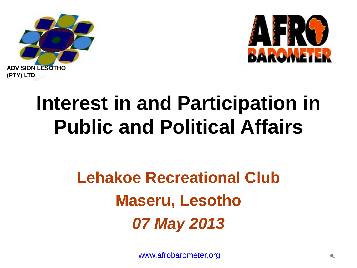



# **Interest in and Participation in Public and Political Affairs**

# **Lehakoe Recreational Club Maseru, Lesotho** *07 May 2013*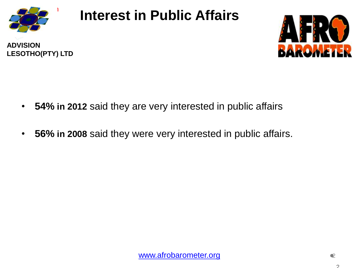

### **Interest in Public Affairs**





- **54% in 2012** said they are very interested in public affairs
- **56% in 2008** said they were very interested in public affairs.

 $\mathcal{O}$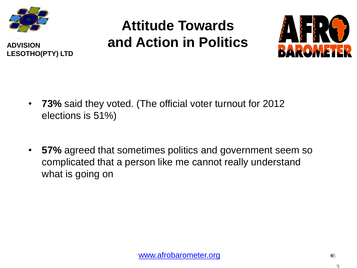

## **Attitude Towards and Action in Politics**



- **73%** said they voted. (The official voter turnout for 2012 elections is 51%)
- **57%** agreed that sometimes politics and government seem so complicated that a person like me cannot really understand what is going on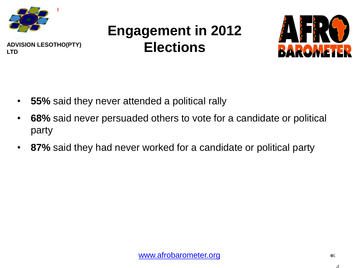

# **Engagement in 2012 Elections**



- **55%** said they never attended a political rally
- **68%** said never persuaded others to vote for a candidate or political party
- **87%** said they had never worked for a candidate or political party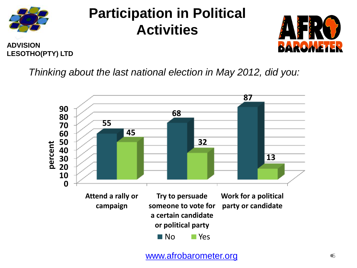

### **Participation in Political Activities**



**ADVISION LESOTHO(PTY) LTD**

*Thinking about the last national election in May 2012, did you:* 

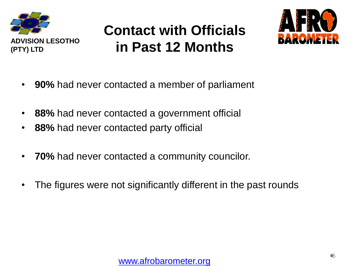

**(PTY) LTD**

**ADVISION LESOTHO** 

### **Contact with Officials in Past 12 Months**



- **90%** had never contacted a member of parliament
- **88%** had never contacted a government official
- **88%** had never contacted party official
- **70%** had never contacted a community councilor.
- The figures were not significantly different in the past rounds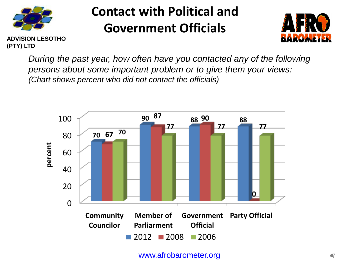

#### **Contact with Political and Government Officials**



**ADVISION LESOTHO (PTY) LTD**

> *During the past year, how often have you contacted any of the following persons about some important problem or to give them your views: (Chart shows percent who did not contact the officials)*

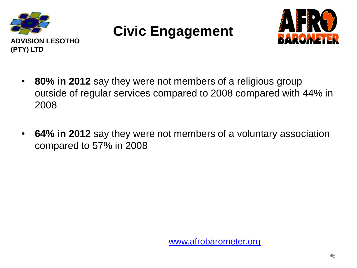

**Civic Engagement**



- **80% in 2012** say they were not members of a religious group outside of regular services compared to 2008 compared with 44% in 2008
- **64% in 2012** say they were not members of a voluntary association compared to 57% in 2008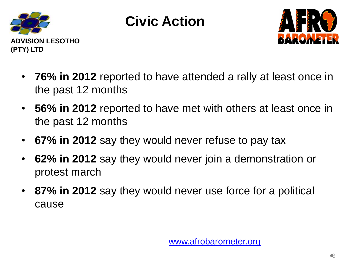

**Civic Action**



- **76% in 2012** reported to have attended a rally at least once in the past 12 months
- **56% in 2012** reported to have met with others at least once in the past 12 months
- **67% in 2012** say they would never refuse to pay tax
- **62% in 2012** say they would never join a demonstration or protest march
- **87% in 2012** say they would never use force for a political cause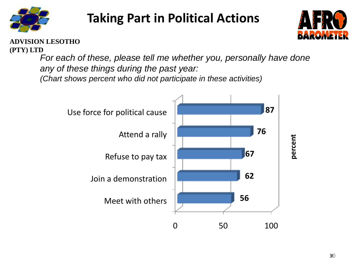



#### **ADVISION LESOTHO (PTY) LTD**

*For each of these, please tell me whether you, personally have done any of these things during the past year: (Chart shows percent who did not participate in these activities)*

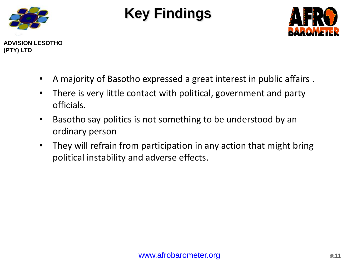

## **Key Findings**



- A majority of Basotho expressed a great interest in public affairs .
	- There is very little contact with political, government and party officials.
	- Basotho say politics is not something to be understood by an ordinary person
	- They will refrain from participation in any action that might bring political instability and adverse effects.